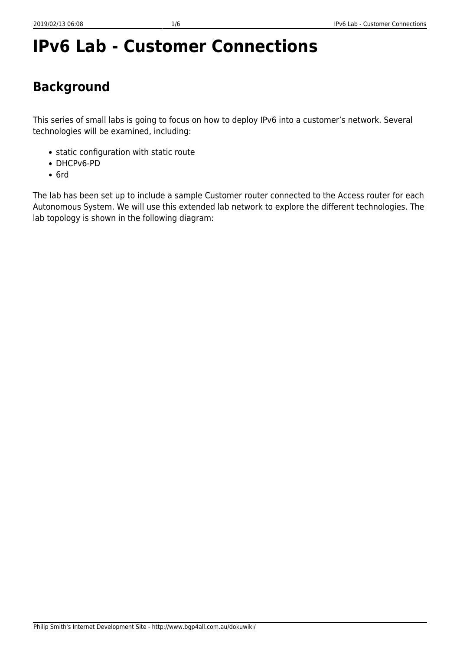# **IPv6 Lab - Customer Connections**

# **Background**

This series of small labs is going to focus on how to deploy IPv6 into a customer's network. Several technologies will be examined, including:

- static configuration with static route
- DHCPv6-PD
- $•$  6rd

The lab has been set up to include a sample Customer router connected to the Access router for each Autonomous System. We will use this extended lab network to explore the different technologies. The lab topology is shown in the following diagram: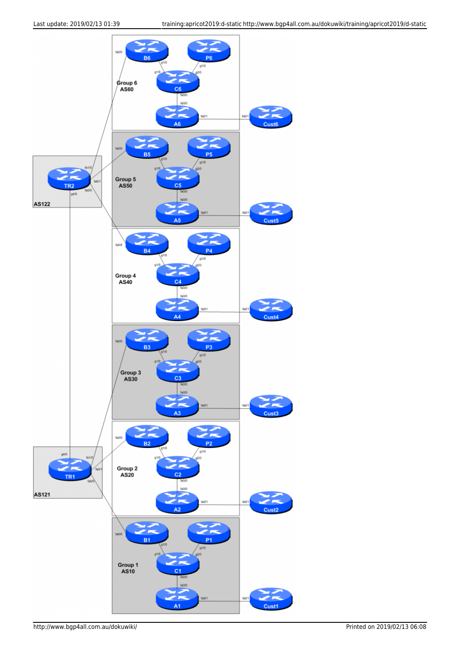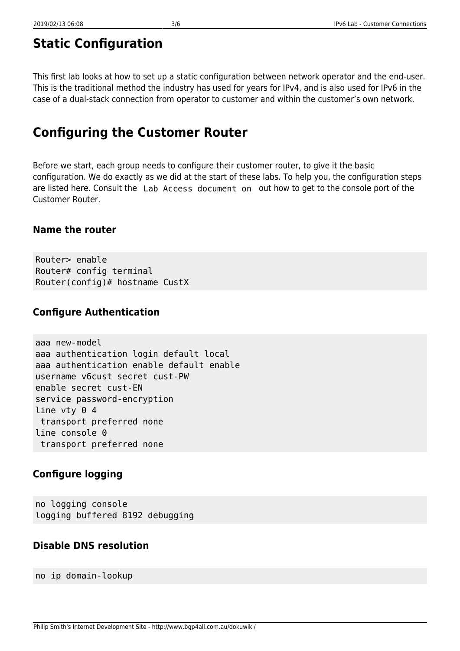### **Static Configuration**

This first lab looks at how to set up a static configuration between network operator and the end-user. This is the traditional method the industry has used for years for IPv4, and is also used for IPv6 in the case of a dual-stack connection from operator to customer and within the customer's own network.

## **Configuring the Customer Router**

Before we start, each group needs to configure their customer router, to give it the basic configuration. We do exactly as we did at the start of these labs. To help you, the configuration steps are listed here. Consult the Lab Access document on out how to get to the console port of the Customer Router.

#### **Name the router**

Router> enable Router# config terminal Router(config)# hostname CustX

#### **Configure Authentication**

aaa new-model aaa authentication login default local aaa authentication enable default enable username v6cust secret cust-PW enable secret cust-EN service password-encryption line vty 0 4 transport preferred none line console 0 transport preferred none

#### **Configure logging**

no logging console logging buffered 8192 debugging

#### **Disable DNS resolution**

no ip domain-lookup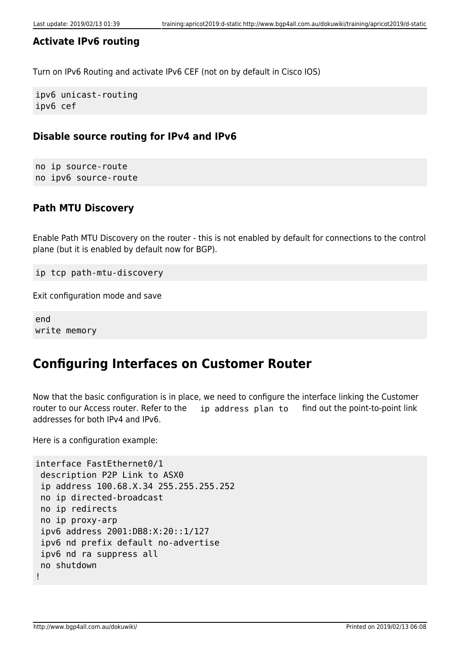#### **Activate IPv6 routing**

Turn on IPv6 Routing and activate IPv6 CEF (not on by default in Cisco IOS)

ipv6 unicast-routing ipv6 cef

#### **Disable source routing for IPv4 and IPv6**

no ip source-route no ipv6 source-route

#### **Path MTU Discovery**

Enable Path MTU Discovery on the router - this is not enabled by default for connections to the control plane (but it is enabled by default now for BGP).

ip tcp path-mtu-discovery

Exit configuration mode and save

end write memory

### **Configuring Interfaces on Customer Router**

Now that the basic configuration is in place, we need to configure the interface linking the Customer router to our Access router. Refer to the [ip address plan](http://www.bgp4all.com.au/dokuwiki/training/apricot2019/address-plan) to find out the point-to-point link addresses for both IPv4 and IPv6. ip address plan to

Here is a configuration example:

```
interface FastEthernet0/1
 description P2P Link to ASX0
 ip address 100.68.X.34 255.255.255.252
 no ip directed-broadcast
 no ip redirects
 no ip proxy-arp
 ipv6 address 2001:DB8:X:20::1/127
 ipv6 nd prefix default no-advertise
 ipv6 nd ra suppress all
 no shutdown
!
```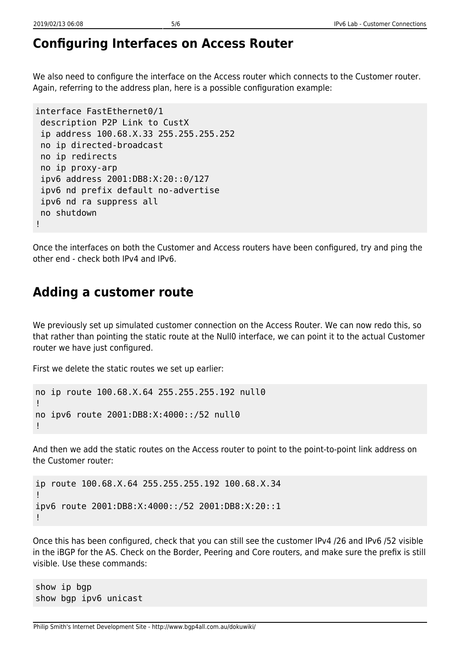# **Configuring Interfaces on Access Router**

We also need to configure the interface on the Access router which connects to the Customer router. Again, referring to the address plan, here is a possible configuration example:

```
interface FastEthernet0/1
 description P2P Link to CustX
 ip address 100.68.X.33 255.255.255.252
 no ip directed-broadcast
 no ip redirects
 no ip proxy-arp
 ipv6 address 2001:DB8:X:20::0/127
 ipv6 nd prefix default no-advertise
 ipv6 nd ra suppress all
 no shutdown
!
```
Once the interfaces on both the Customer and Access routers have been configured, try and ping the other end - check both IPv4 and IPv6.

# **Adding a customer route**

We previously set up simulated customer connection on the Access Router. We can now redo this, so that rather than pointing the static route at the Null0 interface, we can point it to the actual Customer router we have just configured.

First we delete the static routes we set up earlier:

```
no ip route 100.68.X.64 255.255.255.192 null0
!
no ipv6 route 2001:DB8:X:4000::/52 null0
!
```
And then we add the static routes on the Access router to point to the point-to-point link address on the Customer router:

```
ip route 100.68.X.64 255.255.255.192 100.68.X.34
!
ipv6 route 2001:DB8:X:4000::/52 2001:DB8:X:20::1
!
```
Once this has been configured, check that you can still see the customer IPv4 /26 and IPv6 /52 visible in the iBGP for the AS. Check on the Border, Peering and Core routers, and make sure the prefix is still visible. Use these commands:

show ip bgp show bgp ipv6 unicast